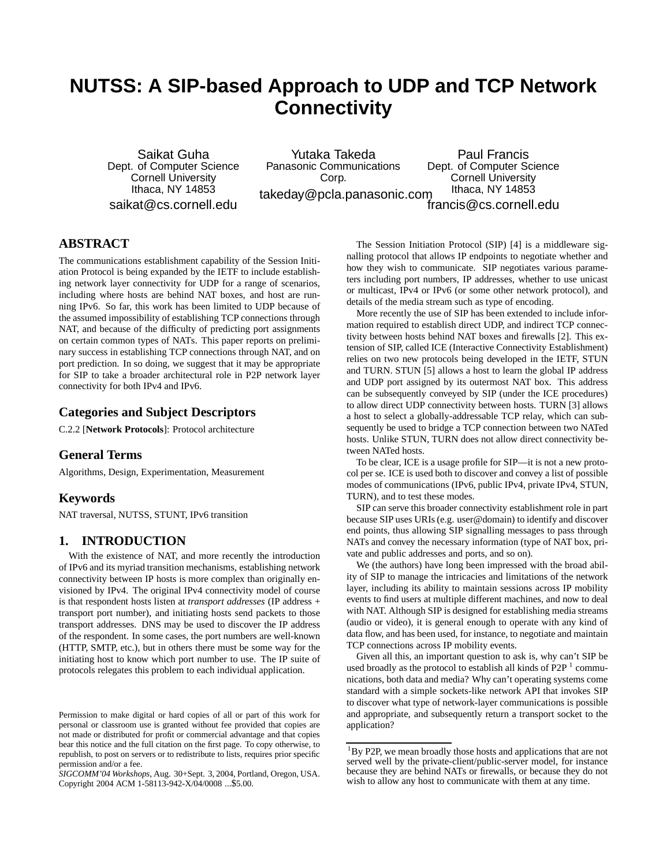# **NUTSS: A SIP-based Approach to UDP and TCP Network Connectivity**

Saikat Guha Dept. of Computer Science Cornell University Ithaca, NY 14853 saikat@cs.cornell.edu

Yutaka Takeda Panasonic Communications Corp. takeday@pcla.panasonic.com

Paul Francis Dept. of Computer Science Cornell University Ithaca, NY 14853 francis@cs.cornell.edu

# **ABSTRACT**

The communications establishment capability of the Session Initiation Protocol is being expanded by the IETF to include establishing network layer connectivity for UDP for a range of scenarios, including where hosts are behind NAT boxes, and host are running IPv6. So far, this work has been limited to UDP because of the assumed impossibility of establishing TCP connections through NAT, and because of the difficulty of predicting port assignments on certain common types of NATs. This paper reports on preliminary success in establishing TCP connections through NAT, and on port prediction. In so doing, we suggest that it may be appropriate for SIP to take a broader architectural role in P2P network layer connectivity for both IPv4 and IPv6.

## **Categories and Subject Descriptors**

C.2.2 [**Network Protocols**]: Protocol architecture

#### **General Terms**

Algorithms, Design, Experimentation, Measurement

### **Keywords**

NAT traversal, NUTSS, STUNT, IPv6 transition

# **1. INTRODUCTION**

With the existence of NAT, and more recently the introduction of IPv6 and its myriad transition mechanisms, establishing network connectivity between IP hosts is more complex than originally envisioned by IPv4. The original IPv4 connectivity model of course is that respondent hosts listen at *transport addresses* (IP address + transport port number), and initiating hosts send packets to those transport addresses. DNS may be used to discover the IP address of the respondent. In some cases, the port numbers are well-known (HTTP, SMTP, etc.), but in others there must be some way for the initiating host to know which port number to use. The IP suite of protocols relegates this problem to each individual application.

The Session Initiation Protocol (SIP) [4] is a middleware signalling protocol that allows IP endpoints to negotiate whether and how they wish to communicate. SIP negotiates various parameters including port numbers, IP addresses, whether to use unicast or multicast, IPv4 or IPv6 (or some other network protocol), and details of the media stream such as type of encoding.

More recently the use of SIP has been extended to include information required to establish direct UDP, and indirect TCP connectivity between hosts behind NAT boxes and firewalls [2]. This extension of SIP, called ICE (Interactive Connectivity Establishment) relies on two new protocols being developed in the IETF, STUN and TURN. STUN [5] allows a host to learn the global IP address and UDP port assigned by its outermost NAT box. This address can be subsequently conveyed by SIP (under the ICE procedures) to allow direct UDP connectivity between hosts. TURN [3] allows a host to select a globally-addressable TCP relay, which can subsequently be used to bridge a TCP connection between two NATed hosts. Unlike STUN, TURN does not allow direct connectivity between NATed hosts.

To be clear, ICE is a usage profile for SIP—it is not a new protocol per se. ICE is used both to discover and convey a list of possible modes of communications (IPv6, public IPv4, private IPv4, STUN, TURN), and to test these modes.

SIP can serve this broader connectivity establishment role in part because SIP uses URIs(e.g. user@domain) to identify and discover end points, thus allowing SIP signalling messages to pass through NATs and convey the necessary information (type of NAT box, private and public addresses and ports, and so on).

We (the authors) have long been impressed with the broad ability of SIP to manage the intricacies and limitations of the network layer, including its ability to maintain sessions across IP mobility events to find users at multiple different machines, and now to deal with NAT. Although SIP is designed for establishing media streams (audio or video), it is general enough to operate with any kind of data flow, and has been used, for instance, to negotiate and maintain TCP connections across IP mobility events.

Given all this, an important question to ask is, why can't SIP be used broadly as the protocol to establish all kinds of P2P $<sup>1</sup>$  commu-</sup> nications, both data and media? Why can't operating systems come standard with a simple sockets-like network API that invokes SIP to discover what type of network-layer communications is possible and appropriate, and subsequently return a transport socket to the application?

Permission to make digital or hard copies of all or part of this work for personal or classroom use is granted without fee provided that copies are not made or distributed for profit or commercial advantage and that copies bear this notice and the full citation on the first page. To copy otherwise, to republish, to post on servers or to redistribute to lists, requires prior specific permission and/or a fee.

*SIGCOMM'04 Workshops,* Aug. 30+Sept. 3, 2004, Portland, Oregon, USA. Copyright 2004 ACM 1-58113-942-X/04/0008 ...\$5.00.

 $1_{\rm BV}$  P2P, we mean broadly those hosts and applications that are not served well by the private-client/public-server model, for instance because they are behind NATs or firewalls, or because they do not wish to allow any host to communicate with them at any time.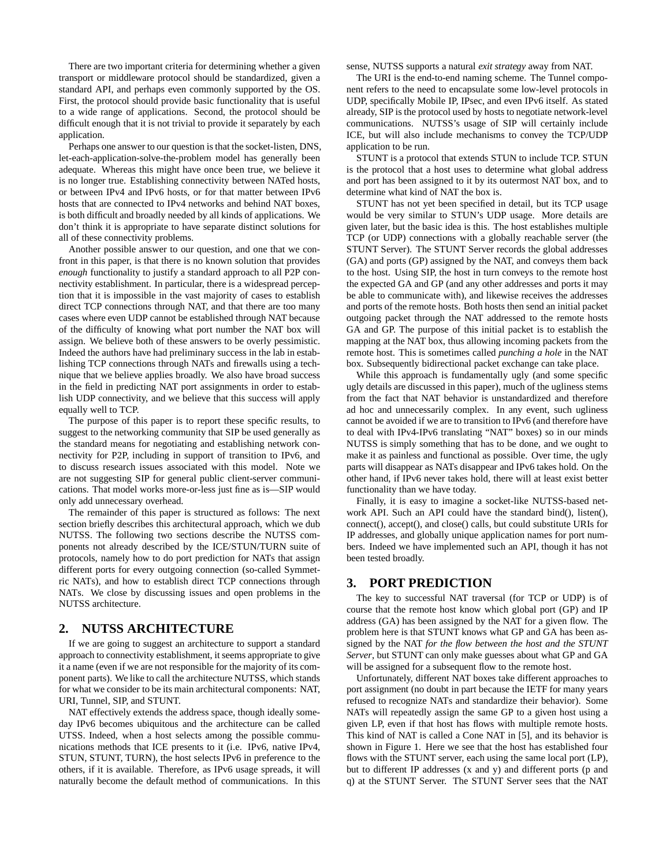There are two important criteria for determining whether a given transport or middleware protocol should be standardized, given a standard API, and perhaps even commonly supported by the OS. First, the protocol should provide basic functionality that is useful to a wide range of applications. Second, the protocol should be difficult enough that it is not trivial to provide it separately by each application.

Perhaps one answer to our question is that the socket-listen, DNS, let-each-application-solve-the-problem model has generally been adequate. Whereas this might have once been true, we believe it is no longer true. Establishing connectivity between NATed hosts, or between IPv4 and IPv6 hosts, or for that matter between IPv6 hosts that are connected to IPv4 networks and behind NAT boxes, is both difficult and broadly needed by all kinds of applications. We don't think it is appropriate to have separate distinct solutions for all of these connectivity problems.

Another possible answer to our question, and one that we confront in this paper, is that there is no known solution that provides *enough* functionality to justify a standard approach to all P2P connectivity establishment. In particular, there is a widespread perception that it is impossible in the vast majority of cases to establish direct TCP connections through NAT, and that there are too many cases where even UDP cannot be established through NAT because of the difficulty of knowing what port number the NAT box will assign. We believe both of these answers to be overly pessimistic. Indeed the authors have had preliminary success in the lab in establishing TCP connections through NATs and firewalls using a technique that we believe applies broadly. We also have broad success in the field in predicting NAT port assignments in order to establish UDP connectivity, and we believe that this success will apply equally well to TCP.

The purpose of this paper is to report these specific results, to suggest to the networking community that SIP be used generally as the standard means for negotiating and establishing network connectivity for P2P, including in support of transition to IPv6, and to discuss research issues associated with this model. Note we are not suggesting SIP for general public client-server communications. That model works more-or-less just fine as is—SIP would only add unnecessary overhead.

The remainder of this paper is structured as follows: The next section briefly describes this architectural approach, which we dub NUTSS. The following two sections describe the NUTSS components not already described by the ICE/STUN/TURN suite of protocols, namely how to do port prediction for NATs that assign different ports for every outgoing connection (so-called Symmetric NATs), and how to establish direct TCP connections through NATs. We close by discussing issues and open problems in the NUTSS architecture.

## **2. NUTSS ARCHITECTURE**

If we are going to suggest an architecture to support a standard approach to connectivity establishment, it seems appropriate to give it a name (even if we are not responsible for the majority of its component parts). We like to call the architecture NUTSS, which stands for what we consider to be its main architectural components: NAT, URI, Tunnel, SIP, and STUNT.

NAT effectively extends the address space, though ideally someday IPv6 becomes ubiquitous and the architecture can be called UTSS. Indeed, when a host selects among the possible communications methods that ICE presents to it (i.e. IPv6, native IPv4, STUN, STUNT, TURN), the host selects IPv6 in preference to the others, if it is available. Therefore, as IPv6 usage spreads, it will naturally become the default method of communications. In this sense, NUTSS supports a natural *exit strategy* away from NAT.

The URI is the end-to-end naming scheme. The Tunnel component refers to the need to encapsulate some low-level protocols in UDP, specifically Mobile IP, IPsec, and even IPv6 itself. As stated already, SIP is the protocol used by hosts to negotiate network-level communications. NUTSS's usage of SIP will certainly include ICE, but will also include mechanisms to convey the TCP/UDP application to be run.

STUNT is a protocol that extends STUN to include TCP. STUN is the protocol that a host uses to determine what global address and port has been assigned to it by its outermost NAT box, and to determine what kind of NAT the box is.

STUNT has not yet been specified in detail, but its TCP usage would be very similar to STUN's UDP usage. More details are given later, but the basic idea is this. The host establishes multiple TCP (or UDP) connections with a globally reachable server (the STUNT Server). The STUNT Server records the global addresses (GA) and ports (GP) assigned by the NAT, and conveys them back to the host. Using SIP, the host in turn conveys to the remote host the expected GA and GP (and any other addresses and ports it may be able to communicate with), and likewise receives the addresses and ports of the remote hosts. Both hosts then send an initial packet outgoing packet through the NAT addressed to the remote hosts GA and GP. The purpose of this initial packet is to establish the mapping at the NAT box, thus allowing incoming packets from the remote host. This is sometimes called *punching a hole* in the NAT box. Subsequently bidirectional packet exchange can take place.

While this approach is fundamentally ugly (and some specific ugly details are discussed in this paper), much of the ugliness stems from the fact that NAT behavior is unstandardized and therefore ad hoc and unnecessarily complex. In any event, such ugliness cannot be avoided if we are to transition to IPv6 (and therefore have to deal with IPv4-IPv6 translating "NAT" boxes) so in our minds NUTSS is simply something that has to be done, and we ought to make it as painless and functional as possible. Over time, the ugly parts will disappear as NATs disappear and IPv6 takes hold. On the other hand, if IPv6 never takes hold, there will at least exist better functionality than we have today.

Finally, it is easy to imagine a socket-like NUTSS-based network API. Such an API could have the standard bind(), listen(), connect(), accept(), and close() calls, but could substitute URIs for IP addresses, and globally unique application names for port numbers. Indeed we have implemented such an API, though it has not been tested broadly.

## **3. PORT PREDICTION**

The key to successful NAT traversal (for TCP or UDP) is of course that the remote host know which global port (GP) and IP address (GA) has been assigned by the NAT for a given flow. The problem here is that STUNT knows what GP and GA has been assigned by the NAT *for the flow between the host and the STUNT Server*, but STUNT can only make guesses about what GP and GA will be assigned for a subsequent flow to the remote host.

Unfortunately, different NAT boxes take different approaches to port assignment (no doubt in part because the IETF for many years refused to recognize NATs and standardize their behavior). Some NATs will repeatedly assign the same GP to a given host using a given LP, even if that host has flows with multiple remote hosts. This kind of NAT is called a Cone NAT in [5], and its behavior is shown in Figure 1. Here we see that the host has established four flows with the STUNT server, each using the same local port (LP), but to different IP addresses (x and y) and different ports (p and q) at the STUNT Server. The STUNT Server sees that the NAT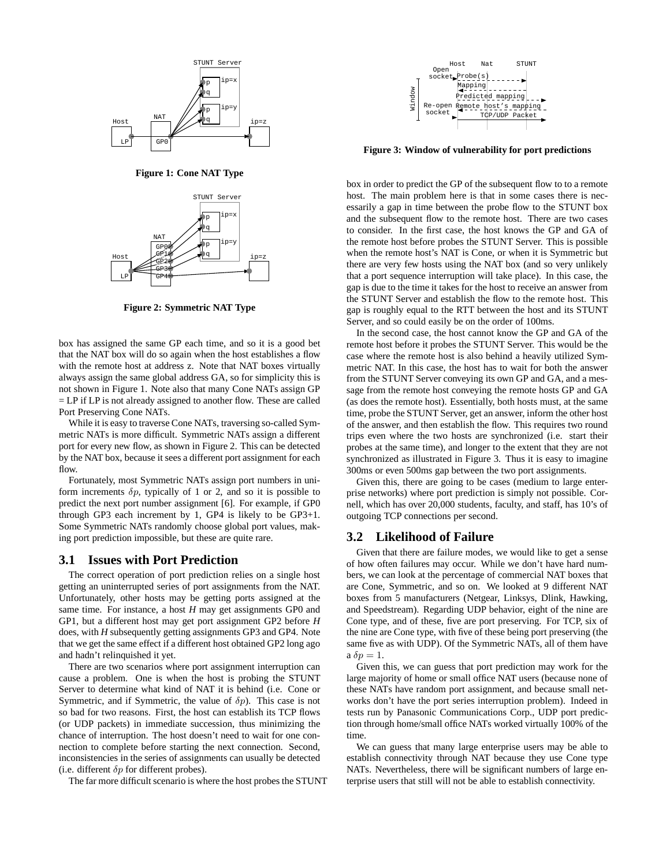

**Figure 1: Cone NAT Type**



**Figure 2: Symmetric NAT Type**

box has assigned the same GP each time, and so it is a good bet that the NAT box will do so again when the host establishes a flow with the remote host at address z. Note that NAT boxes virtually always assign the same global address GA, so for simplicity this is not shown in Figure 1. Note also that many Cone NATs assign GP = LP if LP is not already assigned to another flow. These are called Port Preserving Cone NATs.

While it is easy to traverse Cone NATs, traversing so-called Symmetric NATs is more difficult. Symmetric NATs assign a different port for every new flow, as shown in Figure 2. This can be detected by the NAT box, because it sees a different port assignment for each flow.

Fortunately, most Symmetric NATs assign port numbers in uniform increments  $\delta p$ , typically of 1 or 2, and so it is possible to predict the next port number assignment [6]. For example, if GP0 through GP3 each increment by 1, GP4 is likely to be GP3+1. Some Symmetric NATs randomly choose global port values, making port prediction impossible, but these are quite rare.

#### **3.1 Issues with Port Prediction**

The correct operation of port prediction relies on a single host getting an uninterrupted series of port assignments from the NAT. Unfortunately, other hosts may be getting ports assigned at the same time. For instance, a host *H* may get assignments GP0 and GP1, but a different host may get port assignment GP2 before *H* does, with *H* subsequently getting assignments GP3 and GP4. Note that we get the same effect if a different host obtained GP2 long ago and hadn't relinquished it yet.

There are two scenarios where port assignment interruption can cause a problem. One is when the host is probing the STUNT Server to determine what kind of NAT it is behind (i.e. Cone or Symmetric, and if Symmetric, the value of  $\delta p$ ). This case is not so bad for two reasons. First, the host can establish its TCP flows (or UDP packets) in immediate succession, thus minimizing the chance of interruption. The host doesn't need to wait for one connection to complete before starting the next connection. Second, inconsistencies in the series of assignments can usually be detected (i.e. different  $\delta p$  for different probes).

The far more difficult scenario is where the host probes the STUNT



**Figure 3: Window of vulnerability for port predictions**

box in order to predict the GP of the subsequent flow to to a remote host. The main problem here is that in some cases there is necessarily a gap in time between the probe flow to the STUNT box and the subsequent flow to the remote host. There are two cases to consider. In the first case, the host knows the GP and GA of the remote host before probes the STUNT Server. This is possible when the remote host's NAT is Cone, or when it is Symmetric but there are very few hosts using the NAT box (and so very unlikely that a port sequence interruption will take place). In this case, the gap is due to the time it takes for the host to receive an answer from the STUNT Server and establish the flow to the remote host. This gap is roughly equal to the RTT between the host and its STUNT Server, and so could easily be on the order of 100ms.

In the second case, the host cannot know the GP and GA of the remote host before it probes the STUNT Server. This would be the case where the remote host is also behind a heavily utilized Symmetric NAT. In this case, the host has to wait for both the answer from the STUNT Server conveying its own GP and GA, and a message from the remote host conveying the remote hosts GP and GA (as does the remote host). Essentially, both hosts must, at the same time, probe the STUNT Server, get an answer, inform the other host of the answer, and then establish the flow. This requires two round trips even where the two hosts are synchronized (i.e. start their probes at the same time), and longer to the extent that they are not synchronized as illustrated in Figure 3. Thus it is easy to imagine 300ms or even 500ms gap between the two port assignments.

Given this, there are going to be cases (medium to large enterprise networks) where port prediction is simply not possible. Cornell, which has over 20,000 students, faculty, and staff, has 10's of outgoing TCP connections per second.

#### **3.2 Likelihood of Failure**

Given that there are failure modes, we would like to get a sense of how often failures may occur. While we don't have hard numbers, we can look at the percentage of commercial NAT boxes that are Cone, Symmetric, and so on. We looked at 9 different NAT boxes from 5 manufacturers (Netgear, Linksys, Dlink, Hawking, and Speedstream). Regarding UDP behavior, eight of the nine are Cone type, and of these, five are port preserving. For TCP, six of the nine are Cone type, with five of these being port preserving (the same five as with UDP). Of the Symmetric NATs, all of them have a  $\delta p = 1$ .

Given this, we can guess that port prediction may work for the large majority of home or small office NAT users (because none of these NATs have random port assignment, and because small networks don't have the port series interruption problem). Indeed in tests run by Panasonic Communications Corp., UDP port prediction through home/small office NATs worked virtually 100% of the time.

We can guess that many large enterprise users may be able to establish connectivity through NAT because they use Cone type NATs. Nevertheless, there will be significant numbers of large enterprise users that still will not be able to establish connectivity.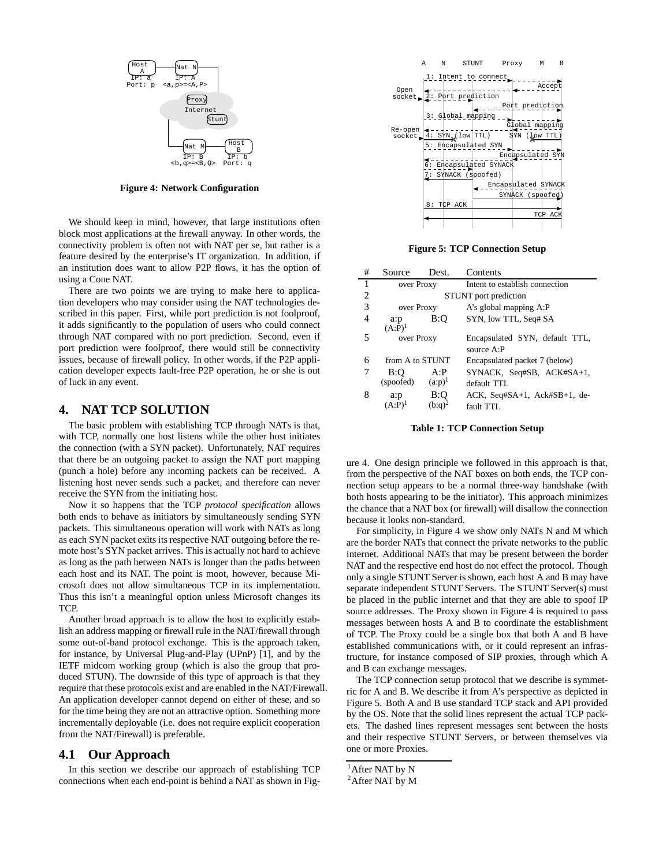

**Figure 4: Network Configuration**

We should keep in mind, however, that large institutions often block most applications at the firewall anyway. In other words, the connectivity problem is often not with NAT per se, but rather is a feature desired by the enterprise's IT organization. In addition, if an institution does want to allow P2P flows, it has the option of using a Cone NAT.

There are two points we are trying to make here to application developers who may consider using the NAT technologies described in this paper. First, while port prediction is not foolproof, it adds significantly to the population of users who could connect through NAT compared with no port prediction. Second, even if port prediction were foolproof, there would still be connectivity issues, because of firewall policy. In other words, if the P2P application developer expects fault-free P2P operation, he or she is out of luck in any event.

#### **4. NAT TCP SOLUTION**

The basic problem with establishing TCP through NATs is that, with TCP, normally one host listens while the other host initiates the connection (with a SYN packet). Unfortunately, NAT requires that there be an outgoing packet to assign the NAT port mapping (punch a hole) before any incoming packets can be received. A listening host never sends such a packet, and therefore can never receive the SYN from the initiating host.

Now it so happens that the TCP *protocol specification* allows both ends to behave as initiators by simultaneously sending SYN packets. This simultaneous operation will work with NATs as long as each SYN packet exits its respective NAT outgoing before the remote host's SYN packet arrives. This is actually not hard to achieve as long as the path between NATs is longer than the paths between each host and its NAT. The point is moot, however, because Microsoft does not allow simultaneous TCP in its implementation. Thus this isn't a meaningful option unless Microsoft changes its TCP.

Another broad approach is to allow the host to explicitly establish an address mapping or firewall rule in the NAT/firewall through some out-of-band protocol exchange. This is the approach taken, for instance, by Universal Plug-and-Play (UPnP) [1], and by the IETF midcom working group (which is also the group that produced STUN). The downside of this type of approach is that they require that these protocols exist and are enabled in the NAT/Firewall. An application developer cannot depend on either of these, and so for the time being they are not an attractive option. Something more incrementally deployable (i.e. does not require explicit cooperation from the NAT/Firewall) is preferable.

#### **4.1 Our Approach**

In this section we describe our approach of establishing TCP connections when each end-point is behind a NAT as shown in Fig-



**Figure 5: TCP Connection Setup**

| # | Source            | Dest.     | Contents                       |
|---|-------------------|-----------|--------------------------------|
| 1 | over Proxy        |           | Intent to establish connection |
| 2 |                   |           | <b>STUNT</b> port prediction   |
| 3 | over Proxy        |           | A's global mapping A:P         |
| 4 | a:p               | B:O       | SYN, low TTL, Seq# SA          |
|   | $(A : P)^1$       |           |                                |
| 5 | over Proxy        |           | Encapsulated SYN, default TTL, |
|   |                   |           | source $A \cdot P$             |
| 6 | from A to STUNT   |           | Encapsulated packet 7 (below)  |
|   | B:O               | A: P      | SYNACK, Seq#SB, ACK#SA+1,      |
|   | (spoofed)         | $(a:p)^1$ | default TTL                    |
| 8 | a:p               | B:O       | ACK, Seq#SA+1, Ack#SB+1, de-   |
|   | $(A \cdot P)^{1}$ |           | fault TTL                      |

**Table 1: TCP Connection Setup**

ure 4. One design principle we followed in this approach is that, from the perspective of the NAT boxes on both ends, the TCP connection setup appears to be a normal three-way handshake (with both hosts appearing to be the initiator). This approach minimizes the chance that a NAT box (or firewall) will disallow the connection because it looks non-standard.

For simplicity, in Figure 4 we show only NATs N and M which are the border NATs that connect the private networks to the public internet. Additional NATs that may be present between the border NAT and the respective end host do not effect the protocol. Though only a single STUNT Server is shown, each host A and B may have separate independent STUNT Servers. The STUNT Server(s) must be placed in the public internet and that they are able to spoof IP source addresses. The Proxy shown in Figure 4 is required to pass messages between hosts A and B to coordinate the establishment of TCP. The Proxy could be a single box that both A and B have established communications with, or it could represent an infrastructure, for instance composed of SIP proxies, through which A and B can exchange messages.

The TCP connection setup protocol that we describe is symmetric for A and B. We describe it from A's perspective as depicted in Figure 5. Both A and B use standard TCP stack and API provided by the OS. Note that the solid lines represent the actual TCP packets. The dashed lines represent messages sent between the hosts and their respective STUNT Servers, or between themselves via one or more Proxies.

<sup>&</sup>lt;sup>1</sup>After NAT by N

<sup>2</sup>After NAT by M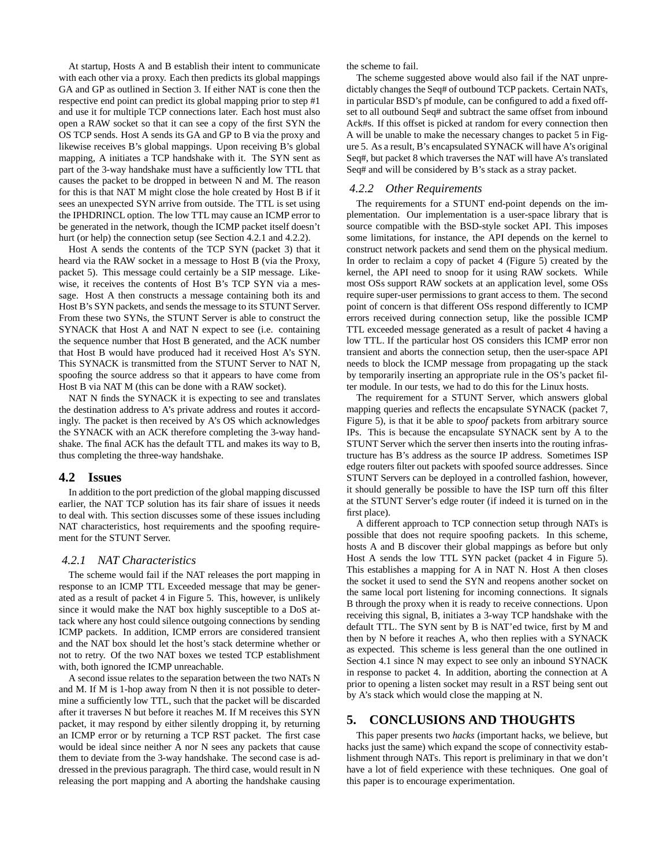At startup, Hosts A and B establish their intent to communicate with each other via a proxy. Each then predicts its global mappings GA and GP as outlined in Section 3. If either NAT is cone then the respective end point can predict its global mapping prior to step #1 and use it for multiple TCP connections later. Each host must also open a RAW socket so that it can see a copy of the first SYN the OS TCP sends. Host A sends its GA and GP to B via the proxy and likewise receives B's global mappings. Upon receiving B's global mapping, A initiates a TCP handshake with it. The SYN sent as part of the 3-way handshake must have a sufficiently low TTL that causes the packet to be dropped in between N and M. The reason for this is that NAT M might close the hole created by Host B if it sees an unexpected SYN arrive from outside. The TTL is set using the IPHDRINCL option. The low TTL may cause an ICMP error to be generated in the network, though the ICMP packet itself doesn't hurt (or help) the connection setup (see Section 4.2.1 and 4.2.2).

Host A sends the contents of the TCP SYN (packet 3) that it heard via the RAW socket in a message to Host B (via the Proxy, packet 5). This message could certainly be a SIP message. Likewise, it receives the contents of Host B's TCP SYN via a message. Host A then constructs a message containing both its and Host B's SYN packets, and sends the message to its STUNT Server. From these two SYNs, the STUNT Server is able to construct the SYNACK that Host A and NAT N expect to see (i.e. containing the sequence number that Host B generated, and the ACK number that Host B would have produced had it received Host A's SYN. This SYNACK is transmitted from the STUNT Server to NAT N, spoofing the source address so that it appears to have come from Host B via NAT M (this can be done with a RAW socket).

NAT N finds the SYNACK it is expecting to see and translates the destination address to A's private address and routes it accordingly. The packet is then received by A's OS which acknowledges the SYNACK with an ACK therefore completing the 3-way handshake. The final ACK has the default TTL and makes its way to B, thus completing the three-way handshake.

#### **4.2 Issues**

In addition to the port prediction of the global mapping discussed earlier, the NAT TCP solution has its fair share of issues it needs to deal with. This section discusses some of these issues including NAT characteristics, host requirements and the spoofing requirement for the STUNT Server.

#### *4.2.1 NAT Characteristics*

The scheme would fail if the NAT releases the port mapping in response to an ICMP TTL Exceeded message that may be generated as a result of packet 4 in Figure 5. This, however, is unlikely since it would make the NAT box highly susceptible to a DoS attack where any host could silence outgoing connections by sending ICMP packets. In addition, ICMP errors are considered transient and the NAT box should let the host's stack determine whether or not to retry. Of the two NAT boxes we tested TCP establishment with, both ignored the ICMP unreachable.

A second issue relates to the separation between the two NATs N and M. If M is 1-hop away from N then it is not possible to determine a sufficiently low TTL, such that the packet will be discarded after it traverses N but before it reaches M. If M receives this SYN packet, it may respond by either silently dropping it, by returning an ICMP error or by returning a TCP RST packet. The first case would be ideal since neither A nor N sees any packets that cause them to deviate from the 3-way handshake. The second case is addressed in the previous paragraph. The third case, would result in N releasing the port mapping and A aborting the handshake causing the scheme to fail.

The scheme suggested above would also fail if the NAT unpredictably changes the Seq# of outbound TCP packets. Certain NATs, in particular BSD's pf module, can be configured to add a fixed offset to all outbound Seq# and subtract the same offset from inbound Ack#s. If this offset is picked at random for every connection then A will be unable to make the necessary changes to packet 5 in Figure 5. As a result, B's encapsulated SYNACK will have A's original Seq#, but packet 8 which traverses the NAT will have A's translated Seq# and will be considered by B's stack as a stray packet.

#### *4.2.2 Other Requirements*

The requirements for a STUNT end-point depends on the implementation. Our implementation is a user-space library that is source compatible with the BSD-style socket API. This imposes some limitations, for instance, the API depends on the kernel to construct network packets and send them on the physical medium. In order to reclaim a copy of packet 4 (Figure 5) created by the kernel, the API need to snoop for it using RAW sockets. While most OSs support RAW sockets at an application level, some OSs require super-user permissions to grant access to them. The second point of concern is that different OSs respond differently to ICMP errors received during connection setup, like the possible ICMP TTL exceeded message generated as a result of packet 4 having a low TTL. If the particular host OS considers this ICMP error non transient and aborts the connection setup, then the user-space API needs to block the ICMP message from propagating up the stack by temporarily inserting an appropriate rule in the OS's packet filter module. In our tests, we had to do this for the Linux hosts.

The requirement for a STUNT Server, which answers global mapping queries and reflects the encapsulate SYNACK (packet 7, Figure 5), is that it be able to *spoof* packets from arbitrary source IPs. This is because the encapsulate SYNACK sent by A to the STUNT Server which the server then inserts into the routing infrastructure has B's address as the source IP address. Sometimes ISP edge routers filter out packets with spoofed source addresses. Since STUNT Servers can be deployed in a controlled fashion, however, it should generally be possible to have the ISP turn off this filter at the STUNT Server's edge router (if indeed it is turned on in the first place).

A different approach to TCP connection setup through NATs is possible that does not require spoofing packets. In this scheme, hosts A and B discover their global mappings as before but only Host A sends the low TTL SYN packet (packet 4 in Figure 5). This establishes a mapping for A in NAT N. Host A then closes the socket it used to send the SYN and reopens another socket on the same local port listening for incoming connections. It signals B through the proxy when it is ready to receive connections. Upon receiving this signal, B, initiates a 3-way TCP handshake with the default TTL. The SYN sent by B is NAT'ed twice, first by M and then by N before it reaches A, who then replies with a SYNACK as expected. This scheme is less general than the one outlined in Section 4.1 since N may expect to see only an inbound SYNACK in response to packet 4. In addition, aborting the connection at A prior to opening a listen socket may result in a RST being sent out by A's stack which would close the mapping at N.

## **5. CONCLUSIONS AND THOUGHTS**

This paper presents two *hacks* (important hacks, we believe, but hacks just the same) which expand the scope of connectivity establishment through NATs. This report is preliminary in that we don't have a lot of field experience with these techniques. One goal of this paper is to encourage experimentation.